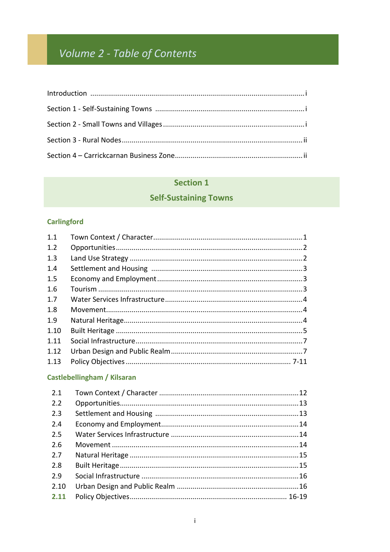# Volume 2 - Table of Contents

#### **Section 1**

# **Self-Sustaining Towns**

# **Carlingford**

| 1.1  |  |
|------|--|
| 1.2  |  |
| 1.3  |  |
| 1.4  |  |
| 1.5  |  |
| 1.6  |  |
| 1.7  |  |
| 1.8  |  |
| 1.9  |  |
| 1.10 |  |
| 1.11 |  |
| 1.12 |  |
| 1.13 |  |
|      |  |

#### **Castlebellingham / Kilsaran**

| 2.1  |  |
|------|--|
| 2.2  |  |
| 2.3  |  |
| 2.4  |  |
| 2.5  |  |
| 2.6  |  |
| 2.7  |  |
| 2.8  |  |
| 2.9  |  |
| 2.10 |  |
| 2.11 |  |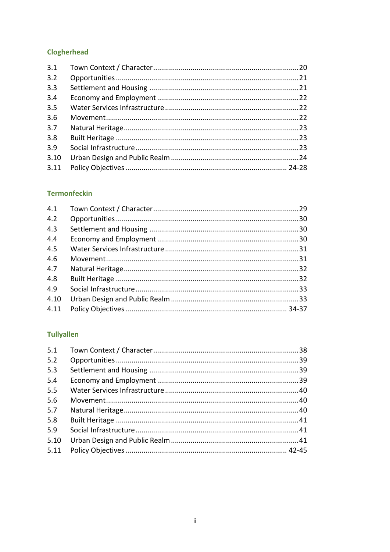# **Clogherhead**

#### **Termonfeckin**

#### **Tullyallen**

| 5.1  |  |
|------|--|
| 5.2  |  |
| 5.3  |  |
| 5.4  |  |
| 5.5  |  |
| 5.6  |  |
| 5.7  |  |
| 5.8  |  |
| 5.9  |  |
| 5.10 |  |
| 5.11 |  |
|      |  |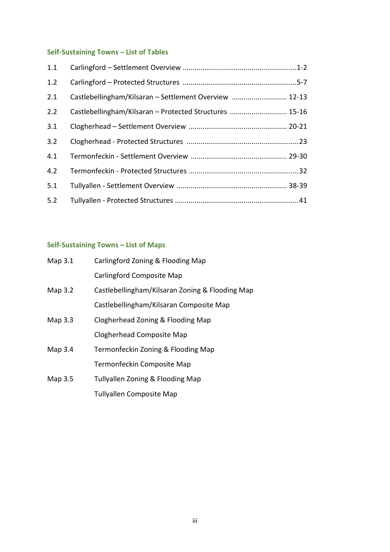# **Self-Sustaining Towns – List of Tables**

| 1.1 |                                                         |  |
|-----|---------------------------------------------------------|--|
| 1.2 |                                                         |  |
| 2.1 | Castlebellingham/Kilsaran - Settlement Overview  12-13  |  |
| 2.2 | Castlebellingham/Kilsaran - Protected Structures  15-16 |  |
| 3.1 |                                                         |  |
| 3.2 |                                                         |  |
| 4.1 |                                                         |  |
| 4.2 |                                                         |  |
| 5.1 |                                                         |  |
| 5.2 |                                                         |  |

# **Self-Sustaining Towns – List of Maps**

| Map $3.1$ | Carlingford Zoning & Flooding Map               |
|-----------|-------------------------------------------------|
|           | Carlingford Composite Map                       |
| Map 3.2   | Castlebellingham/Kilsaran Zoning & Flooding Map |
|           | Castlebellingham/Kilsaran Composite Map         |
| Map 3.3   | Clogherhead Zoning & Flooding Map               |
|           | <b>Clogherhead Composite Map</b>                |
| Map 3.4   | Termonfeckin Zoning & Flooding Map              |
|           | Termonfeckin Composite Map                      |
| Map 3.5   | Tullyallen Zoning & Flooding Map                |
|           | <b>Tullyallen Composite Map</b>                 |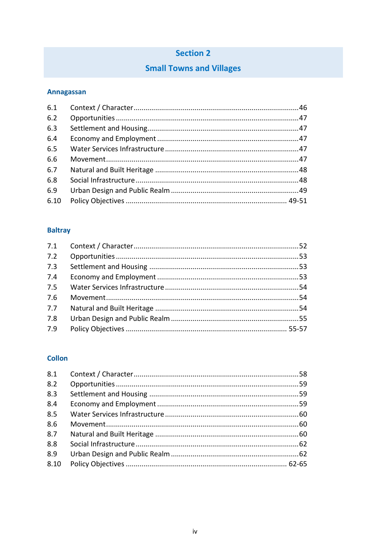# **Section 2**

# **Small Towns and Villages**

# **Annagassan**

| 6.1  |  |
|------|--|
| 6.2  |  |
| 6.3  |  |
| 6.4  |  |
| 6.5  |  |
| 6.6  |  |
| 6.7  |  |
| 6.8  |  |
| 6.9  |  |
| 6.10 |  |
|      |  |

# **Baltray**

| 7.1 |  |
|-----|--|
| 7.2 |  |
| 7.3 |  |
| 7.4 |  |
| 7.5 |  |
| 7.6 |  |
| 7.7 |  |
| 7.8 |  |
| 7.9 |  |

#### **Collon**

| 8.1  |  |
|------|--|
| 8.2  |  |
| 8.3  |  |
| 8.4  |  |
| 8.5  |  |
| 8.6  |  |
| 8.7  |  |
| 8.8  |  |
| 8.9  |  |
| 8.10 |  |
|      |  |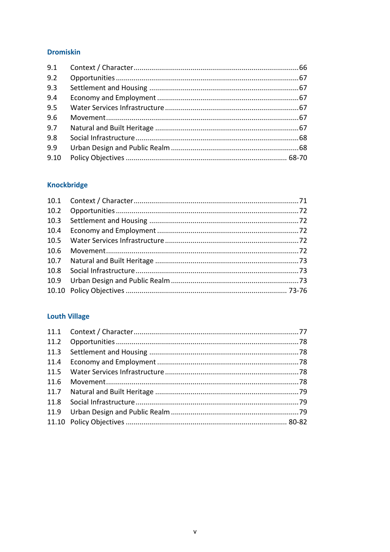#### **Dromiskin**

| 9.1  |  |
|------|--|
| 9.2  |  |
| 9.3  |  |
| 9.4  |  |
| 9.5  |  |
| 9.6  |  |
| 9.7  |  |
| 9.8  |  |
| 9.9  |  |
| 9.10 |  |

# Knockbridge

| 10.3 |  |
|------|--|
| 10.4 |  |
| 10.5 |  |
| 10.6 |  |
| 10.7 |  |
| 10.8 |  |
|      |  |
|      |  |
|      |  |

# **Louth Village**

| 11.3 |  |
|------|--|
|      |  |
|      |  |
| 11.6 |  |
|      |  |
|      |  |
|      |  |
|      |  |
|      |  |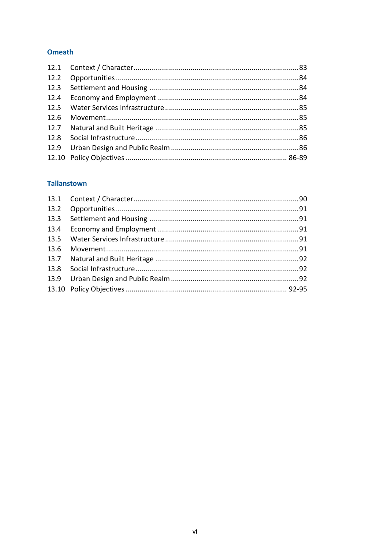#### **Omeath**

| 12.3 |  |
|------|--|
|      |  |
|      |  |
|      |  |
|      |  |
|      |  |
|      |  |
|      |  |
|      |  |

#### **Tallanstown**

| 13.3 |  |
|------|--|
|      |  |
|      |  |
| 13.6 |  |
|      |  |
|      |  |
|      |  |
|      |  |
|      |  |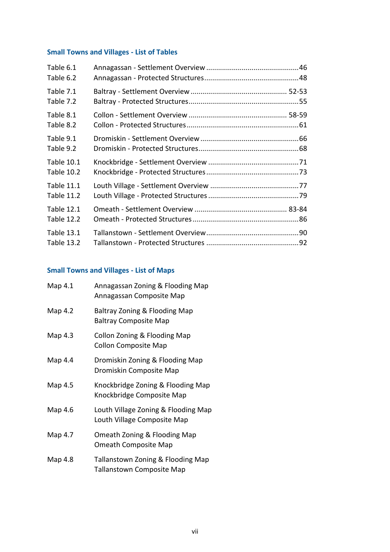# **Small Towns and Villages - List of Tables**

| Table 6.1<br>Table 6.2                 |  |
|----------------------------------------|--|
| Table 7.1<br>Table 7.2                 |  |
| Table 8.1<br>Table 8.2                 |  |
| Table 9.1<br>Table 9.2                 |  |
| <b>Table 10.1</b><br><b>Table 10.2</b> |  |
| <b>Table 11.1</b><br><b>Table 11.2</b> |  |
| <b>Table 12.1</b><br><b>Table 12.2</b> |  |
| <b>Table 13.1</b><br><b>Table 13.2</b> |  |

# **Small Towns and Villages - List of Maps**

| Map 4.1 | Annagassan Zoning & Flooding Map<br>Annagassan Composite Map          |
|---------|-----------------------------------------------------------------------|
| Map 4.2 | Baltray Zoning & Flooding Map<br><b>Baltray Composite Map</b>         |
| Map 4.3 | Collon Zoning & Flooding Map<br><b>Collon Composite Map</b>           |
| Map 4.4 | Dromiskin Zoning & Flooding Map<br>Dromiskin Composite Map            |
| Map 4.5 | Knockbridge Zoning & Flooding Map<br>Knockbridge Composite Map        |
| Map 4.6 | Louth Village Zoning & Flooding Map<br>Louth Village Composite Map    |
| Map 4.7 | Omeath Zoning & Flooding Map<br><b>Omeath Composite Map</b>           |
| Map 4.8 | Tallanstown Zoning & Flooding Map<br><b>Tallanstown Composite Map</b> |